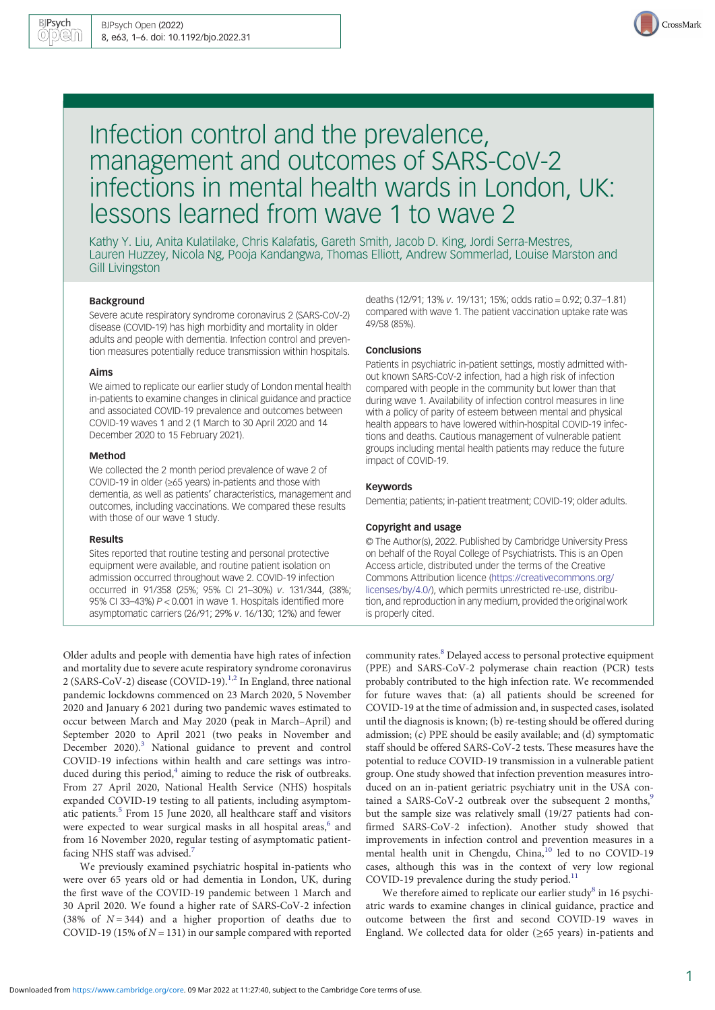

# Infection control and the prevalence, management and outcomes of SARS-CoV-2 infections in mental health wards in London, UK: lessons learned from wave 1 to wave 2

Kathy Y. Liu, Anita Kulatilake, Chris Kalafatis, Gareth Smith, Jacob D. King, Jordi Serra-Mestres, Lauren Huzzey, Nicola Ng, Pooja Kandangwa, Thomas Elliott, Andrew Sommerlad, Louise Marston and Gill Livingston

## Background

Severe acute respiratory syndrome coronavirus 2 (SARS-CoV-2) disease (COVID-19) has high morbidity and mortality in older adults and people with dementia. Infection control and prevention measures potentially reduce transmission within hospitals.

## Aims

We aimed to replicate our earlier study of London mental health in-patients to examine changes in clinical guidance and practice and associated COVID-19 prevalence and outcomes between COVID-19 waves 1 and 2 (1 March to 30 April 2020 and 14 December 2020 to 15 February 2021).

#### Method

We collected the 2 month period prevalence of wave 2 of COVID-19 in older (≥65 years) in-patients and those with dementia, as well as patients' characteristics, management and outcomes, including vaccinations. We compared these results with those of our wave 1 study.

#### Results

Sites reported that routine testing and personal protective equipment were available, and routine patient isolation on admission occurred throughout wave 2. COVID-19 infection occurred in 91/358 (25%; 95% CI 21–30%) v. 131/344, (38%; 95% CI 33–43%) P < 0.001 in wave 1. Hospitals identified more asymptomatic carriers (26/91; 29% v. 16/130; 12%) and fewer

Older adults and people with dementia have high rates of infection and mortality due to severe acute respiratory syndrome coronavirus 2 (SARS-CoV-2) disease (COVID-19).<sup>[1,2](#page-4-0)</sup> In England, three national pandemic lockdowns commenced on 23 March 2020, 5 November 2020 and January 6 2021 during two pandemic waves estimated to occur between March and May 2020 (peak in March–April) and September 2020 to April 2021 (two peaks in November and December 2020).<sup>3</sup> National guidance to prevent and control COVID-19 infections within health and care settings was introduced during this period, $4$  aiming to reduce the risk of outbreaks. From 27 April 2020, National Health Service (NHS) hospitals expanded COVID-19 testing to all patients, including asymptom-atic patients.<sup>[5](#page-5-0)</sup> From 15 June 2020, all healthcare staff and visitors were expected to wear surgical masks in all hospital areas,<sup>6</sup> and from 16 November 2020, regular testing of asymptomatic patient-facing NHS staff was advised.<sup>[7](#page-5-0)</sup>

We previously examined psychiatric hospital in-patients who were over 65 years old or had dementia in London, UK, during the first wave of the COVID-19 pandemic between 1 March and 30 April 2020. We found a higher rate of SARS-CoV-2 infection (38% of  $N = 344$ ) and a higher proportion of deaths due to COVID-19 (15% of  $N = 131$ ) in our sample compared with reported deaths (12/91; 13% v. 19/131; 15%; odds ratio = 0.92; 0.37–1.81) compared with wave 1. The patient vaccination uptake rate was 49/58 (85%).

#### Conclusions

Patients in psychiatric in-patient settings, mostly admitted without known SARS-CoV-2 infection, had a high risk of infection compared with people in the community but lower than that during wave 1. Availability of infection control measures in line with a policy of parity of esteem between mental and physical health appears to have lowered within-hospital COVID-19 infections and deaths. Cautious management of vulnerable patient groups including mental health patients may reduce the future impact of COVID-19.

#### Keywords

Dementia; patients; in-patient treatment; COVID-19; older adults.

#### Copyright and usage

© The Author(s), 2022. Published by Cambridge University Press on behalf of the Royal College of Psychiatrists. This is an Open Access article, distributed under the terms of the Creative Commons Attribution licence [\(https://creativecommons.org/](https://creativecommons.org/licenses/by/4.0/) [licenses/by/4.0/](https://creativecommons.org/licenses/by/4.0/)), which permits unrestricted re-use, distribution, and reproduction in any medium, provided the original work is properly cited.

community rates.[8](#page-5-0) Delayed access to personal protective equipment (PPE) and SARS-CoV-2 polymerase chain reaction (PCR) tests probably contributed to the high infection rate. We recommended for future waves that: (a) all patients should be screened for COVID-19 at the time of admission and, in suspected cases, isolated until the diagnosis is known; (b) re-testing should be offered during admission; (c) PPE should be easily available; and (d) symptomatic staff should be offered SARS-CoV-2 tests. These measures have the potential to reduce COVID-19 transmission in a vulnerable patient group. One study showed that infection prevention measures introduced on an in-patient geriatric psychiatry unit in the USA con-tained a SARS-CoV-2 outbreak over the subsequent 2 months,<sup>[9](#page-5-0)</sup> but the sample size was relatively small (19/27 patients had confirmed SARS-CoV-2 infection). Another study showed that improvements in infection control and prevention measures in a mental health unit in Chengdu, China,<sup>[10](#page-5-0)</sup> led to no COVID-19 cases, although this was in the context of very low regional COVID-19 prevalence during the study period.<sup>[11](#page-5-0)</sup>

We therefore aimed to replicate our earlier study<sup>[8](#page-5-0)</sup> in 16 psychiatric wards to examine changes in clinical guidance, practice and outcome between the first and second COVID-19 waves in England. We collected data for older  $(\geq 65$  years) in-patients and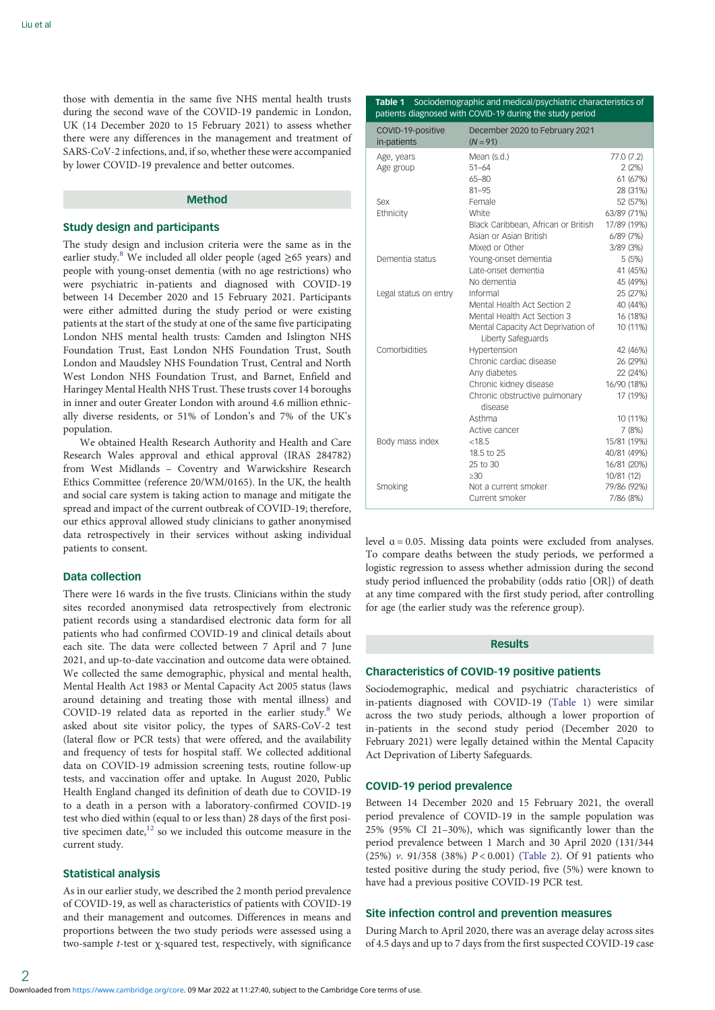those with dementia in the same five NHS mental health trusts during the second wave of the COVID-19 pandemic in London, UK (14 December 2020 to 15 February 2021) to assess whether there were any differences in the management and treatment of SARS-CoV-2 infections, and, if so, whether these were accompanied by lower COVID-19 prevalence and better outcomes.

## Method

### Study design and participants

The study design and inclusion criteria were the same as in the earlier study.<sup>[8](#page-5-0)</sup> We included all older people (aged  $\geq 65$  years) and people with young-onset dementia (with no age restrictions) who were psychiatric in-patients and diagnosed with COVID-19 between 14 December 2020 and 15 February 2021. Participants were either admitted during the study period or were existing patients at the start of the study at one of the same five participating London NHS mental health trusts: Camden and Islington NHS Foundation Trust, East London NHS Foundation Trust, South London and Maudsley NHS Foundation Trust, Central and North West London NHS Foundation Trust, and Barnet, Enfield and Haringey Mental Health NHS Trust. These trusts cover 14 boroughs in inner and outer Greater London with around 4.6 million ethnically diverse residents, or 51% of London's and 7% of the UK's population.

We obtained Health Research Authority and Health and Care Research Wales approval and ethical approval (IRAS 284782) from West Midlands – Coventry and Warwickshire Research Ethics Committee (reference 20/WM/0165). In the UK, the health and social care system is taking action to manage and mitigate the spread and impact of the current outbreak of COVID-19; therefore, our ethics approval allowed study clinicians to gather anonymised data retrospectively in their services without asking individual patients to consent.

# Data collection

There were 16 wards in the five trusts. Clinicians within the study sites recorded anonymised data retrospectively from electronic patient records using a standardised electronic data form for all patients who had confirmed COVID-19 and clinical details about each site. The data were collected between 7 April and 7 June 2021, and up-to-date vaccination and outcome data were obtained. We collected the same demographic, physical and mental health, Mental Health Act 1983 or Mental Capacity Act 2005 status (laws around detaining and treating those with mental illness) and COVID-19 related data as reported in the earlier study. $8$  We asked about site visitor policy, the types of SARS-CoV-2 test (lateral flow or PCR tests) that were offered, and the availability and frequency of tests for hospital staff. We collected additional data on COVID-19 admission screening tests, routine follow-up tests, and vaccination offer and uptake. In August 2020, Public Health England changed its definition of death due to COVID-19 to a death in a person with a laboratory-confirmed COVID-19 test who died within (equal to or less than) 28 days of the first positive specimen date, $12$  so we included this outcome measure in the current study.

## Statistical analysis

As in our earlier study, we described the 2 month period prevalence of COVID-19, as well as characteristics of patients with COVID-19 and their management and outcomes. Differences in means and proportions between the two study periods were assessed using a two-sample t-test or χ-squared test, respectively, with significance

Table 1 Sociodemographic and medical/psychiatric characteristics of patients diagnosed with COVID-19 during the study period

| COVID-19-positive<br>in-patients | December 2020 to February 2021<br>$(N = 91)$             |             |
|----------------------------------|----------------------------------------------------------|-------------|
| Age, years                       | Mean (s.d.)                                              | 77.0 (7.2)  |
| Age group                        | $51 - 64$                                                | 2(2%)       |
|                                  | $65 - 80$                                                | 61 (67%)    |
|                                  | $81 - 95$                                                | 28 (31%)    |
| Sex                              | Female                                                   | 52 (57%)    |
| Ethnicity                        | White                                                    | 63/89 (71%) |
|                                  | Black Caribbean, African or British                      | 17/89 (19%) |
|                                  | Asian or Asian British                                   | 6/89(7%)    |
|                                  | Mixed or Other                                           | 3/89 (3%)   |
| Dementia status                  | Young-onset dementia                                     | 5(5%)       |
|                                  | Late-onset dementia                                      | 41 (45%)    |
|                                  | No dementia                                              | 45 (49%)    |
| Legal status on entry            | Informal                                                 | 25 (27%)    |
|                                  | Mental Health Act Section 2                              | 40 (44%)    |
|                                  | Mental Health Act Section 3                              | 16 (18%)    |
|                                  | Mental Capacity Act Deprivation of<br>Liberty Safeguards | 10 (11%)    |
| Comorbidities                    | Hypertension                                             | 42 (46%)    |
|                                  | Chronic cardiac disease                                  | 26 (29%)    |
|                                  | Any diabetes                                             | 22 (24%)    |
|                                  | Chronic kidney disease                                   | 16/90 (18%) |
|                                  | Chronic obstructive pulmonary<br>disease                 | 17 (19%)    |
|                                  | Asthma                                                   | 10 (11%)    |
|                                  | Active cancer                                            | 7(8%)       |
| Body mass index                  | < 18.5                                                   | 15/81 (19%) |
|                                  | 18.5 to 25                                               | 40/81 (49%) |
|                                  | 25 to 30                                                 | 16/81 (20%) |
|                                  | >30                                                      | 10/81 (12)  |
| Smoking                          | Not a current smoker                                     | 79/86 (92%) |
|                                  | Current smoker                                           | 7/86 (8%)   |

level  $a = 0.05$ . Missing data points were excluded from analyses. To compare deaths between the study periods, we performed a logistic regression to assess whether admission during the second study period influenced the probability (odds ratio [OR]) of death at any time compared with the first study period, after controlling for age (the earlier study was the reference group).

## Results

### Characteristics of COVID-19 positive patients

Sociodemographic, medical and psychiatric characteristics of in-patients diagnosed with COVID-19 (Table 1) were similar across the two study periods, although a lower proportion of in-patients in the second study period (December 2020 to February 2021) were legally detained within the Mental Capacity Act Deprivation of Liberty Safeguards.

### COVID-19 period prevalence

Between 14 December 2020 and 15 February 2021, the overall period prevalence of COVID-19 in the sample population was 25% (95% CI 21–30%), which was significantly lower than the period prevalence between 1 March and 30 April 2020 (131/344 (25%) v. 91/358 (38%) P < 0.001) [\(Table 2](#page-2-0)). Of 91 patients who tested positive during the study period, five (5%) were known to have had a previous positive COVID-19 PCR test.

# Site infection control and prevention measures

During March to April 2020, there was an average delay across sites of 4.5 days and up to 7 days from the first suspected COVID-19 case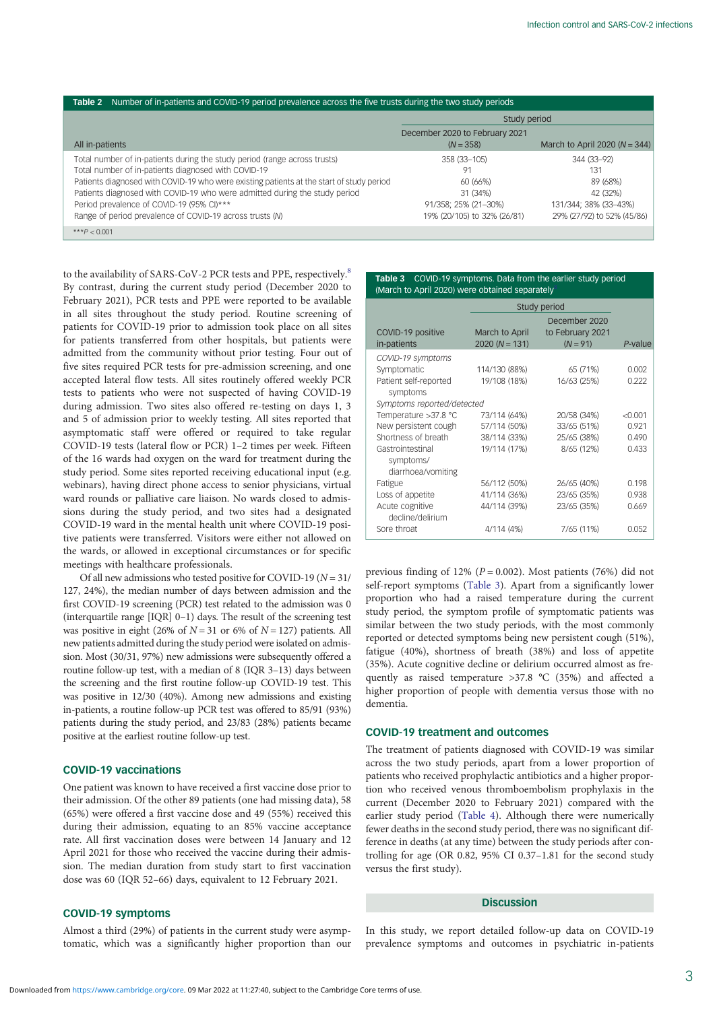<span id="page-2-0"></span>

| Table 2 Number of in-patients and COVID-19 period prevalence across the five trusts during the two study periods                                                                                                                                                                                                                                                                                                    |                                                                                                   |                                                                                                   |  |  |  |
|---------------------------------------------------------------------------------------------------------------------------------------------------------------------------------------------------------------------------------------------------------------------------------------------------------------------------------------------------------------------------------------------------------------------|---------------------------------------------------------------------------------------------------|---------------------------------------------------------------------------------------------------|--|--|--|
|                                                                                                                                                                                                                                                                                                                                                                                                                     | Study period                                                                                      |                                                                                                   |  |  |  |
| All in-patients                                                                                                                                                                                                                                                                                                                                                                                                     | December 2020 to February 2021<br>$(N = 358)$                                                     | March to April 2020 ( $N = 344$ )                                                                 |  |  |  |
| Total number of in-patients during the study period (range across trusts)<br>Total number of in-patients diagnosed with COVID-19<br>Patients diagnosed with COVID-19 who were existing patients at the start of study period<br>Patients diagnosed with COVID-19 who were admitted during the study period<br>Period prevalence of COVID-19 (95% CI)***<br>Range of period prevalence of COVID-19 across trusts (N) | 358 (33-105)<br>91<br>60 (66%)<br>31 (34%)<br>91/358; 25% (21-30%)<br>19% (20/105) to 32% (26/81) | 344 (33-92)<br>131<br>89 (68%)<br>42 (32%)<br>131/344; 38% (33-43%)<br>29% (27/92) to 52% (45/86) |  |  |  |
| *** $P < 0.001$                                                                                                                                                                                                                                                                                                                                                                                                     |                                                                                                   |                                                                                                   |  |  |  |

to the availability of SARS-CoV-2 PCR tests and PPE, respectively.<sup>8</sup> By contrast, during the current study period (December 2020 to February 2021), PCR tests and PPE were reported to be available in all sites throughout the study period. Routine screening of patients for COVID-19 prior to admission took place on all sites for patients transferred from other hospitals, but patients were admitted from the community without prior testing. Four out of five sites required PCR tests for pre-admission screening, and one accepted lateral flow tests. All sites routinely offered weekly PCR tests to patients who were not suspected of having COVID-19 during admission. Two sites also offered re-testing on days 1, 3 and 5 of admission prior to weekly testing. All sites reported that asymptomatic staff were offered or required to take regular COVID-19 tests (lateral flow or PCR) 1–2 times per week. Fifteen of the 16 wards had oxygen on the ward for treatment during the study period. Some sites reported receiving educational input (e.g. webinars), having direct phone access to senior physicians, virtual ward rounds or palliative care liaison. No wards closed to admissions during the study period, and two sites had a designated COVID-19 ward in the mental health unit where COVID-19 positive patients were transferred. Visitors were either not allowed on the wards, or allowed in exceptional circumstances or for specific meetings with healthcare professionals.

Of all new admissions who tested positive for COVID-19 ( $N = 31/$ 127, 24%), the median number of days between admission and the first COVID-19 screening (PCR) test related to the admission was 0 (interquartile range [IQR] 0–1) days. The result of the screening test was positive in eight (26% of  $N = 31$  or 6% of  $N = 127$ ) patients. All new patients admitted during the study period were isolated on admission. Most (30/31, 97%) new admissions were subsequently offered a routine follow-up test, with a median of 8 (IQR 3–13) days between the screening and the first routine follow-up COVID-19 test. This was positive in 12/30 (40%). Among new admissions and existing in-patients, a routine follow-up PCR test was offered to 85/91 (93%) patients during the study period, and 23/83 (28%) patients became positive at the earliest routine follow-up test.

## COVID-19 vaccinations

One patient was known to have received a first vaccine dose prior to their admission. Of the other 89 patients (one had missing data), 58 (65%) were offered a first vaccine dose and 49 (55%) received this during their admission, equating to an 85% vaccine acceptance rate. All first vaccination doses were between 14 January and 12 April 2021 for those who received the vaccine during their admission. The median duration from study start to first vaccination dose was 60 (IQR 52–66) days, equivalent to 12 February 2021.

# COVID-19 symptoms

Almost a third (29%) of patients in the current study were asymptomatic, which was a significantly higher proportion than our

#### Table 3 COVID-19 symptoms. Data from the earlier study period (March to April 2020) were obtained separately

|                                                     | Study period                       |                                                 |         |
|-----------------------------------------------------|------------------------------------|-------------------------------------------------|---------|
| COVID-19 positive<br>in-patients                    | March to April<br>$2020 (N = 131)$ | December 2020<br>to February 2021<br>$(N = 91)$ | P-value |
| COVID-19 symptoms                                   |                                    |                                                 |         |
| Symptomatic                                         | 114/130 (88%)                      | 65 (71%)                                        | 0.002   |
| Patient self-reported<br>symptoms                   | 19/108 (18%)                       | 16/63 (25%)                                     | 0.222   |
| Symptoms reported/detected                          |                                    |                                                 |         |
| Temperature > 37.8 °C                               | 73/114 (64%)                       | 20/58 (34%)                                     | < 0.001 |
| New persistent cough                                | 57/114 (50%)                       | 33/65 (51%)                                     | 0.921   |
| Shortness of breath                                 | 38/114 (33%)                       | 25/65 (38%)                                     | 0.490   |
| Gastrointestinal<br>symptoms/<br>diarrhoea/vomiting | 19/114 (17%)                       | 8/65 (12%)                                      | 0.433   |
| Fatigue                                             | 56/112 (50%)                       | 26/65 (40%)                                     | 0.198   |
| Loss of appetite                                    | 41/114 (36%)                       | 23/65 (35%)                                     | 0.938   |
| Acute cognitive<br>decline/delirium                 | 44/114 (39%)                       | 23/65 (35%)                                     | 0.669   |
| Sore throat                                         | 4/114 (4%)                         | 7/65 (11%)                                      | 0.052   |

previous finding of 12% ( $P = 0.002$ ). Most patients (76%) did not self-report symptoms (Table 3). Apart from a significantly lower proportion who had a raised temperature during the current study period, the symptom profile of symptomatic patients was similar between the two study periods, with the most commonly reported or detected symptoms being new persistent cough (51%), fatigue (40%), shortness of breath (38%) and loss of appetite (35%). Acute cognitive decline or delirium occurred almost as frequently as raised temperature >37.8 °C (35%) and affected a higher proportion of people with dementia versus those with no dementia.

## COVID-19 treatment and outcomes

The treatment of patients diagnosed with COVID-19 was similar across the two study periods, apart from a lower proportion of patients who received prophylactic antibiotics and a higher proportion who received venous thromboembolism prophylaxis in the current (December 2020 to February 2021) compared with the earlier study period [\(Table 4](#page-3-0)). Although there were numerically fewer deaths in the second study period, there was no significant difference in deaths (at any time) between the study periods after controlling for age (OR 0.82, 95% CI 0.37–1.81 for the second study versus the first study).

# Discussion

In this study, we report detailed follow-up data on COVID-19 prevalence symptoms and outcomes in psychiatric in-patients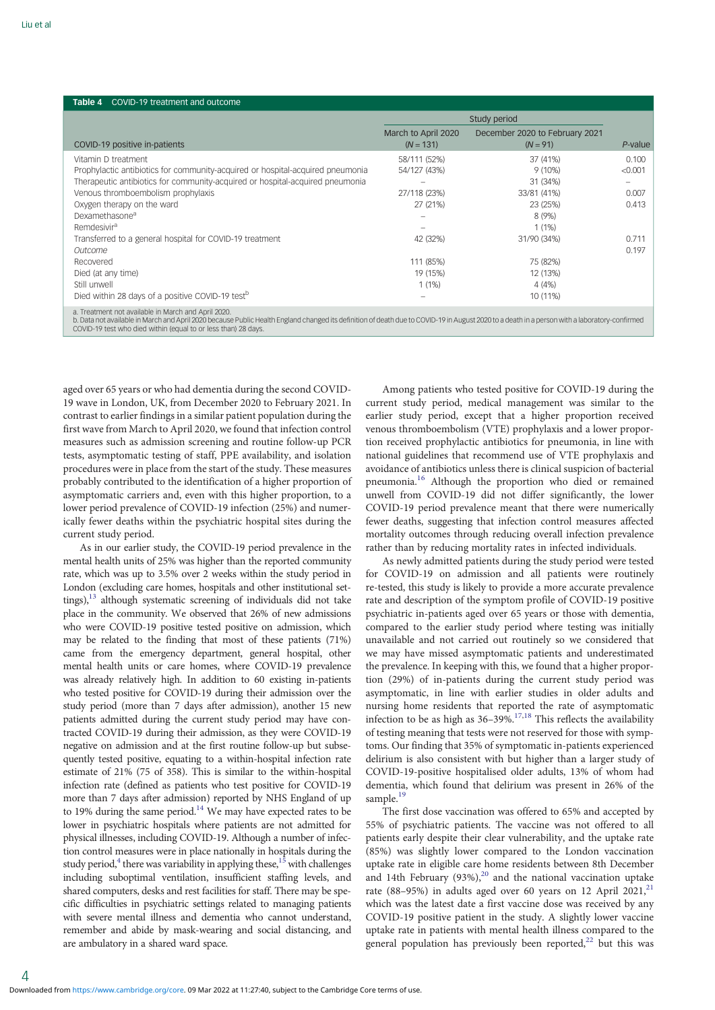<span id="page-3-0"></span>

| <b>Table 4</b> COVID-19 treatment and outcome                                                                                                                                                                                                                                                                          |                                    |                                              |         |  |  |
|------------------------------------------------------------------------------------------------------------------------------------------------------------------------------------------------------------------------------------------------------------------------------------------------------------------------|------------------------------------|----------------------------------------------|---------|--|--|
|                                                                                                                                                                                                                                                                                                                        | Study period                       |                                              |         |  |  |
| COVID-19 positive in-patients                                                                                                                                                                                                                                                                                          | March to April 2020<br>$(N = 131)$ | December 2020 to February 2021<br>$(N = 91)$ | P-value |  |  |
| Vitamin D treatment                                                                                                                                                                                                                                                                                                    | 58/111 (52%)                       | 37 (41%)                                     | 0.100   |  |  |
| Prophylactic antibiotics for community-acquired or hospital-acquired pneumonia                                                                                                                                                                                                                                         | 54/127 (43%)                       | $9(10\%)$                                    | < 0.001 |  |  |
| Therapeutic antibiotics for community-acquired or hospital-acquired pneumonia                                                                                                                                                                                                                                          |                                    | 31 (34%)                                     |         |  |  |
| Venous thromboembolism prophylaxis                                                                                                                                                                                                                                                                                     | 27/118 (23%)                       | 33/81 (41%)                                  | 0.007   |  |  |
| Oxygen therapy on the ward                                                                                                                                                                                                                                                                                             | 27 (21%)                           | 23 (25%)                                     | 0.413   |  |  |
| Dexamethasone <sup>a</sup>                                                                                                                                                                                                                                                                                             |                                    | $8(9\%)$                                     |         |  |  |
| Remdesivir <sup>a</sup>                                                                                                                                                                                                                                                                                                |                                    | 1(1%)                                        |         |  |  |
| Transferred to a general hospital for COVID-19 treatment                                                                                                                                                                                                                                                               | 42 (32%)                           | 31/90 (34%)                                  | 0.711   |  |  |
| Outcome                                                                                                                                                                                                                                                                                                                |                                    |                                              | 0.197   |  |  |
| Recovered                                                                                                                                                                                                                                                                                                              | 111 (85%)                          | 75 (82%)                                     |         |  |  |
| Died (at any time)                                                                                                                                                                                                                                                                                                     | 19 (15%)                           | 12 (13%)                                     |         |  |  |
| Still unwell                                                                                                                                                                                                                                                                                                           | 1(1%)                              | 4(4%)                                        |         |  |  |
| Died within 28 days of a positive COVID-19 test <sup>b</sup>                                                                                                                                                                                                                                                           |                                    | 10 (11%)                                     |         |  |  |
| a. Treatment not available in March and April 2020.<br>b. Data not available in March and April 2020 because Public Health England changed its definition of death due to COVID-19 in August 2020 to a death in a person with a laboratory-confirmed<br>COVID-19 test who died within (equal to or less than) 28 days. |                                    |                                              |         |  |  |

aged over 65 years or who had dementia during the second COVID-19 wave in London, UK, from December 2020 to February 2021. In contrast to earlier findings in a similar patient population during the first wave from March to April 2020, we found that infection control measures such as admission screening and routine follow-up PCR tests, asymptomatic testing of staff, PPE availability, and isolation procedures were in place from the start of the study. These measures probably contributed to the identification of a higher proportion of asymptomatic carriers and, even with this higher proportion, to a lower period prevalence of COVID-19 infection (25%) and numerically fewer deaths within the psychiatric hospital sites during the current study period.

As in our earlier study, the COVID-19 period prevalence in the mental health units of 25% was higher than the reported community rate, which was up to 3.5% over 2 weeks within the study period in London (excluding care homes, hospitals and other institutional settings),<sup>13</sup> although systematic screening of individuals did not take place in the community. We observed that 26% of new admissions who were COVID-19 positive tested positive on admission, which may be related to the finding that most of these patients (71%) came from the emergency department, general hospital, other mental health units or care homes, where COVID-19 prevalence was already relatively high. In addition to 60 existing in-patients who tested positive for COVID-19 during their admission over the study period (more than 7 days after admission), another 15 new patients admitted during the current study period may have contracted COVID-19 during their admission, as they were COVID-19 negative on admission and at the first routine follow-up but subsequently tested positive, equating to a within-hospital infection rate estimate of 21% (75 of 358). This is similar to the within-hospital infection rate (defined as patients who test positive for COVID-19 more than 7 days after admission) reported by NHS England of up to 19% during the same period.<sup>14</sup> We may have expected rates to be lower in psychiatric hospitals where patients are not admitted for physical illnesses, including COVID-19. Although a number of infection control measures were in place nationally in hospitals during the study period, $4$  there was variability in applying these,  $15$  with challenges including suboptimal ventilation, insufficient staffing levels, and shared computers, desks and rest facilities for staff. There may be specific difficulties in psychiatric settings related to managing patients with severe mental illness and dementia who cannot understand, remember and abide by mask-wearing and social distancing, and are ambulatory in a shared ward space.

Among patients who tested positive for COVID-19 during the current study period, medical management was similar to the earlier study period, except that a higher proportion received venous thromboembolism (VTE) prophylaxis and a lower proportion received prophylactic antibiotics for pneumonia, in line with national guidelines that recommend use of VTE prophylaxis and avoidance of antibiotics unless there is clinical suspicion of bacterial pneumonia.[16](#page-5-0) Although the proportion who died or remained unwell from COVID-19 did not differ significantly, the lower COVID-19 period prevalence meant that there were numerically fewer deaths, suggesting that infection control measures affected mortality outcomes through reducing overall infection prevalence rather than by reducing mortality rates in infected individuals.

As newly admitted patients during the study period were tested for COVID-19 on admission and all patients were routinely re-tested, this study is likely to provide a more accurate prevalence rate and description of the symptom profile of COVID-19 positive psychiatric in-patients aged over 65 years or those with dementia, compared to the earlier study period where testing was initially unavailable and not carried out routinely so we considered that we may have missed asymptomatic patients and underestimated the prevalence. In keeping with this, we found that a higher proportion (29%) of in-patients during the current study period was asymptomatic, in line with earlier studies in older adults and nursing home residents that reported the rate of asymptomatic infection to be as high as 36–39%.[17,18](#page-5-0) This reflects the availability of testing meaning that tests were not reserved for those with symptoms. Our finding that 35% of symptomatic in-patients experienced delirium is also consistent with but higher than a larger study of COVID-19-positive hospitalised older adults, 13% of whom had dementia, which found that delirium was present in 26% of the sample. $19$ 

The first dose vaccination was offered to 65% and accepted by 55% of psychiatric patients. The vaccine was not offered to all patients early despite their clear vulnerability, and the uptake rate (85%) was slightly lower compared to the London vaccination uptake rate in eligible care home residents between 8th December and 14th February  $(93\%)$ ,<sup>[20](#page-5-0)</sup> and the national vaccination uptake rate (88–95%) in adults aged over 60 years on 12 April 20[21](#page-5-0),<sup>21</sup> which was the latest date a first vaccine dose was received by any COVID-19 positive patient in the study. A slightly lower vaccine uptake rate in patients with mental health illness compared to the general population has previously been reported, $22$  but this was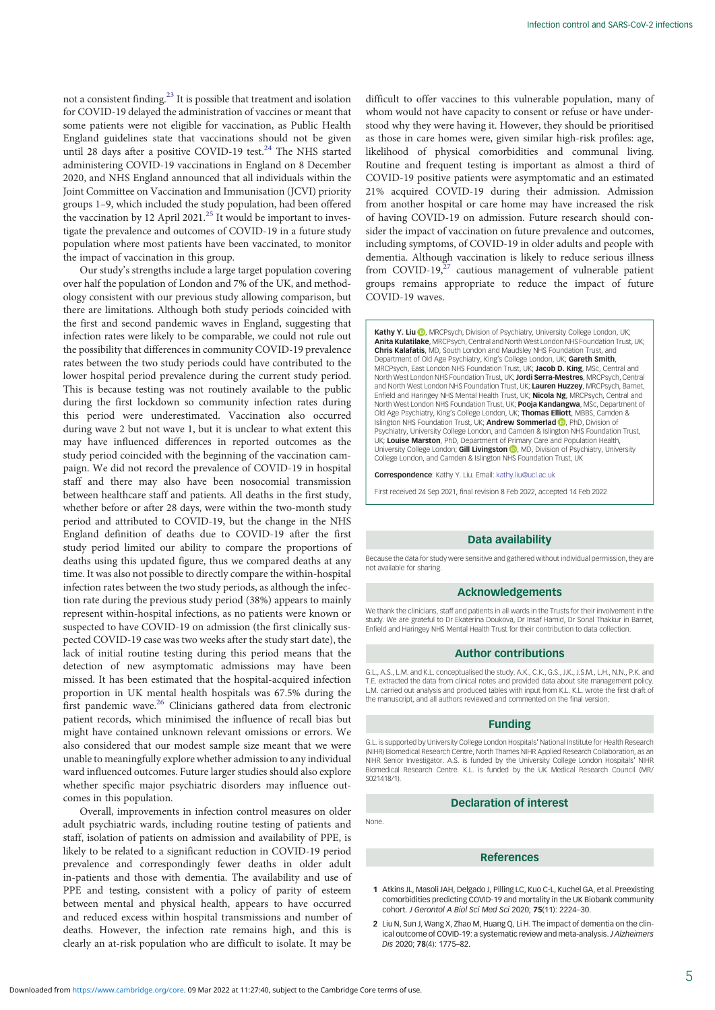<span id="page-4-0"></span>not a consistent finding.[23](#page-5-0) It is possible that treatment and isolation for COVID-19 delayed the administration of vaccines or meant that some patients were not eligible for vaccination, as Public Health England guidelines state that vaccinations should not be given until 28 days after a positive COVID-19 test.<sup>[24](#page-5-0)</sup> The NHS started administering COVID-19 vaccinations in England on 8 December 2020, and NHS England announced that all individuals within the Joint Committee on Vaccination and Immunisation (JCVI) priority groups 1–9, which included the study population, had been offered the vaccination by 12 April 2021.<sup>[25](#page-5-0)</sup> It would be important to investigate the prevalence and outcomes of COVID-19 in a future study population where most patients have been vaccinated, to monitor the impact of vaccination in this group.

Our study's strengths include a large target population covering over half the population of London and 7% of the UK, and methodology consistent with our previous study allowing comparison, but there are limitations. Although both study periods coincided with the first and second pandemic waves in England, suggesting that infection rates were likely to be comparable, we could not rule out the possibility that differences in community COVID-19 prevalence rates between the two study periods could have contributed to the lower hospital period prevalence during the current study period. This is because testing was not routinely available to the public during the first lockdown so community infection rates during this period were underestimated. Vaccination also occurred during wave 2 but not wave 1, but it is unclear to what extent this may have influenced differences in reported outcomes as the study period coincided with the beginning of the vaccination campaign. We did not record the prevalence of COVID-19 in hospital staff and there may also have been nosocomial transmission between healthcare staff and patients. All deaths in the first study, whether before or after 28 days, were within the two-month study period and attributed to COVID-19, but the change in the NHS England definition of deaths due to COVID-19 after the first study period limited our ability to compare the proportions of deaths using this updated figure, thus we compared deaths at any time. It was also not possible to directly compare the within-hospital infection rates between the two study periods, as although the infection rate during the previous study period (38%) appears to mainly represent within-hospital infections, as no patients were known or suspected to have COVID-19 on admission (the first clinically suspected COVID-19 case was two weeks after the study start date), the lack of initial routine testing during this period means that the detection of new asymptomatic admissions may have been missed. It has been estimated that the hospital-acquired infection proportion in UK mental health hospitals was 67.5% during the first pandemic wave.<sup>26</sup> Clinicians gathered data from electronic patient records, which minimised the influence of recall bias but might have contained unknown relevant omissions or errors. We also considered that our modest sample size meant that we were unable to meaningfully explore whether admission to any individual ward influenced outcomes. Future larger studies should also explore whether specific major psychiatric disorders may influence outcomes in this population.

Overall, improvements in infection control measures on older adult psychiatric wards, including routine testing of patients and staff, isolation of patients on admission and availability of PPE, is likely to be related to a significant reduction in COVID-19 period prevalence and correspondingly fewer deaths in older adult in-patients and those with dementia. The availability and use of PPE and testing, consistent with a policy of parity of esteem between mental and physical health, appears to have occurred and reduced excess within hospital transmissions and number of deaths. However, the infection rate remains high, and this is clearly an at-risk population who are difficult to isolate. It may be

difficult to offer vaccines to this vulnerable population, many of whom would not have capacity to consent or refuse or have understood why they were having it. However, they should be prioritised as those in care homes were, given similar high-risk profiles: age, likelihood of physical comorbidities and communal living. Routine and frequent testing is important as almost a third of COVID-19 positive patients were asymptomatic and an estimated 21% acquired COVID-19 during their admission. Admission from another hospital or care home may have increased the risk of having COVID-19 on admission. Future research should consider the impact of vaccination on future prevalence and outcomes, including symptoms, of COVID-19 in older adults and people with dementia. Although vaccination is likely to reduce serious illness from COVID-19, $27$  cautious management of vulnerable patient groups remains appropriate to reduce the impact of future COVID-19 waves.

Kathy Y. Liu (D), MRCPsych, Division of Psychiatry, University College London, UK Anita Kulatilake, MRCPsych, Central and North West London NHS Foundation Trust, UK; Chris Kalafatis, MD, South London and Maudsley NHS Foundation Trust, and Department of Old Age Psychiatry, King's College London, UK; Gareth Smith, MRCPsych, East London NHS Foundation Trust, UK; Jacob D. King, MSc, Central and North West London NHS Foundation Trust, UK; Jordi Serra-Mestres, MRCPsych, Central and North West London NHS Foundation Trust, UK; Lauren Huzzey, MRCPsych, Barnet, Enfield and Haringey NHS Mental Health Trust, UK; Nicola Ng, MRCPsych, Central and North West London NHS Foundation Trust, UK; Pooja Kandangwa, MSc, Department of Old Age Psychiatry, King's College London, UK; Thomas Elliott, MBBS, Camden & Islington NHS Foundation Trust, UK; Andrew Sommerlad (D, PhD, Division of Psychiatry, University College London, and Camden & Islington NHS Foundation Trust, UK; Louise Marston, PhD, Department of Primary Care and Population Health, University College London; **Gill Livingston (D**[,](https://orcid.org/0000-0001-6741-5516) MD, Division of Psychiatry, University College London, and Camden & Islington NHS Foundation Trust, UK

Correspondence: Kathy Y. Liu. Email: [kathy.liu@ucl.ac.uk](mailto:kathy.liu@ucl.ac.uk)

First received 24 Sep 2021, final revision 8 Feb 2022, accepted 14 Feb 2022

### Data availability

Because the data for study were sensitive and gathered without individual permission, they are not available for sharing.

#### Acknowledgements

We thank the clinicians, staff and patients in all wards in the Trusts for their involvement in the study. We are grateful to Dr Ekaterina Doukova, Dr Insaf Hamid, Dr Sonal Thakkur in Barnet, Enfield and Haringey NHS Mental Health Trust for their contribution to data collection.

#### Author contributions

G.L., A.S., L.M. and K.L. conceptualised the study. A.K., C.K., G.S., J.K., J.S.M., L.H., N.N., P.K. and T.E. extracted the data from clinical notes and provided data about site management policy. L.M. carried out analysis and produced tables with input from K.L. K.L. wrote the first draft of the manuscript, and all authors reviewed and commented on the final version.

#### Funding

G.L. is supported by University College London Hospitals' National Institute for Health Research (NIHR) Biomedical Research Centre, North Thames NIHR Applied Research Collaboration, as an NIHR Senior Investigator. A.S. is funded by the University College London Hospitals' NIHR Biomedical Research Centre. K.L. is funded by the UK Medical Research Council (MR/ S021418/1).

#### Declaration of interest

None.

#### References

- 1 Atkins JL, Masoli JAH, Delgado J, Pilling LC, Kuo C-L, Kuchel GA, et al. Preexisting comorbidities predicting COVID-19 and mortality in the UK Biobank community cohort. J Gerontol A Biol Sci Med Sci 2020; 75(11): 2224–30.
- 2 Liu N, Sun J, Wang X, Zhao M, Huang Q, Li H. The impact of dementia on the clinical outcome of COVID-19: a systematic review and meta-analysis. J Alzheimers Dis 2020; 78(4): 1775–82.